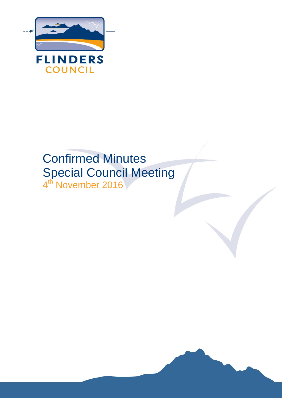

# Confirmed Minutes Special Council Meeting 4<sup>th</sup> November 2016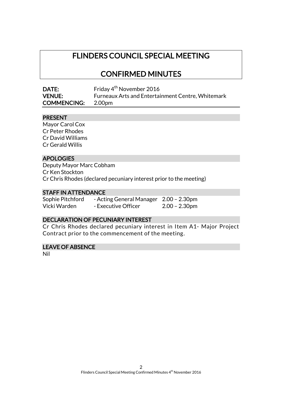# FLINDERS COUNCIL SPECIAL MEETING

# CONFIRMED MINUTES

| <b>DATE:</b>              | Friday 4 <sup>th</sup> November 2016                     |
|---------------------------|----------------------------------------------------------|
| <b>VENUE:</b>             | <b>Furneaux Arts and Entertainment Centre, Whitemark</b> |
| <b>COMMENCING:</b> 2.00pm |                                                          |

#### PRESENT

Mayor Carol Cox Cr Peter Rhodes Cr David Williams Cr Gerald Willis

### APOLOGIES

Deputy Mayor Marc Cobham Cr Ken Stockton Cr Chris Rhodes (declared pecuniary interest prior to the meeting)

#### STAFF IN ATTENDANCE

| Sophie Pitchford | - Acting General Manager 2.00 - 2.30pm |                  |
|------------------|----------------------------------------|------------------|
| Vicki Warden     | - Executive Officer                    | $2.00 - 2.30$ pm |

#### DECLARATION OF PECUNIARY INTEREST

Cr Chris Rhodes declared pecuniary interest in Item A1- Major Project Contract prior to the commencement of the meeting.

## LEAVE OF ABSENCE

Nil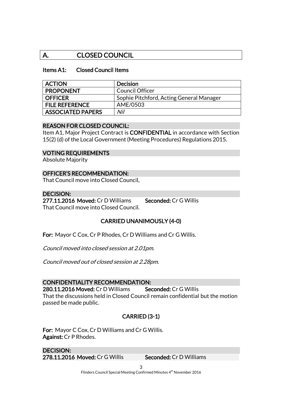# A. CLOSED COUNCIL

#### Items A1: Closed Council Items

| <b>ACTION</b>            | <b>Decision</b>                          |
|--------------------------|------------------------------------------|
| <b>PROPONENT</b>         | <b>Council Officer</b>                   |
| <b>OFFICER</b>           | Sophie Pitchford, Acting General Manager |
| <b>FILE REFERENCE</b>    | AME/0503                                 |
| <b>ASSOCIATED PAPERS</b> | Nil                                      |

#### REASON FOR CLOSED COUNCIL:

Item A1, Major Project Contract is CONFIDENTIAL in accordance with Section 15(2) (d) of the Local Government (Meeting Procedures) Regulations 2015.

#### VOTING REQUIREMENTS

Absolute Majority

#### OFFICER'S RECOMMENDATION:

That Council move into Closed Council.

#### DECISION:

277.11.2016 Moved: Cr D Williams Seconded: Cr G Willis That Council move into Closed Council.

## CARRIED UNANIMOUSLY (4-0)

For: Mayor C Cox, Cr P Rhodes, Cr D Williams and Cr G Willis.

Council moved into closed session at 2.01pm.

Council moved out of closed session at 2.28pm.

#### CONFIDENTIALITY RECOMMENDATION:

280.11.2016 Moved: Cr D Williams Seconded: Cr G Willis That the discussions held in Closed Council remain confidential but the motion passed be made public.

## CARRIED (3-1)

For: Mayor C Cox, Cr D Williams and Cr G Willis. Against: Cr P Rhodes.

DECISION: 278.11.2016 Moved: Cr G Willis Seconded: Cr D Williams

3